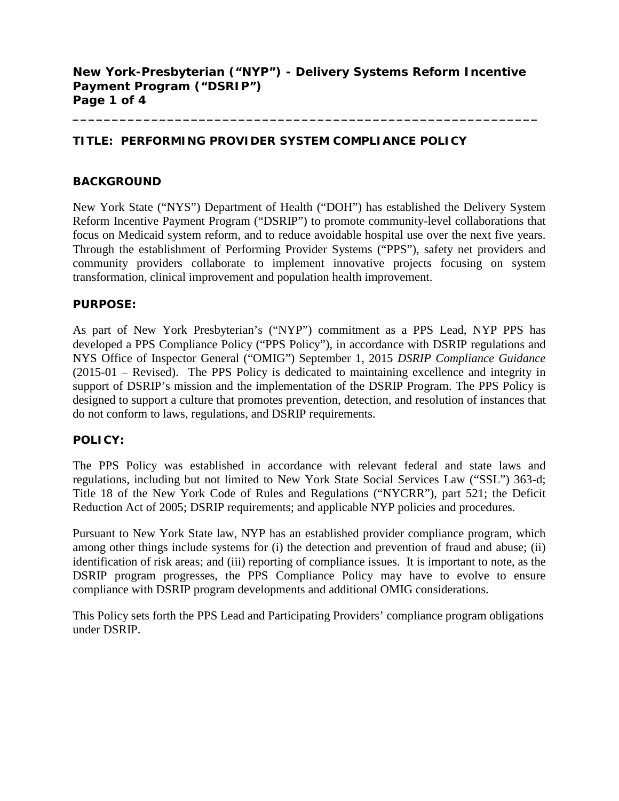**\_\_\_\_\_\_\_\_\_\_\_\_\_\_\_\_\_\_\_\_\_\_\_\_\_\_\_\_\_\_\_\_\_\_\_\_\_\_\_\_\_\_\_\_\_\_\_\_\_\_\_\_\_\_\_\_\_\_\_** 

### **TITLE: PERFORMING PROVIDER SYSTEM COMPLIANCE POLICY**

#### **BACKGROUND**

New York State ("NYS") Department of Health ("DOH") has established the Delivery System Reform Incentive Payment Program ("DSRIP") to promote community-level collaborations that focus on Medicaid system reform, and to reduce avoidable hospital use over the next five years. Through the establishment of Performing Provider Systems ("PPS"), safety net providers and community providers collaborate to implement innovative projects focusing on system transformation, clinical improvement and population health improvement.

#### **PURPOSE:**

As part of New York Presbyterian's ("NYP") commitment as a PPS Lead, NYP PPS has developed a PPS Compliance Policy ("PPS Policy"), in accordance with DSRIP regulations and NYS Office of Inspector General ("OMIG") September 1, 2015 *DSRIP Compliance Guidance* (2015-01 – Revised). The PPS Policy is dedicated to maintaining excellence and integrity in support of DSRIP's mission and the implementation of the DSRIP Program. The PPS Policy is designed to support a culture that promotes prevention, detection, and resolution of instances that do not conform to laws, regulations, and DSRIP requirements.

### **POLICY:**

The PPS Policy was established in accordance with relevant federal and state laws and regulations, including but not limited to New York State Social Services Law ("SSL") 363-d; Title 18 of the New York Code of Rules and Regulations ("NYCRR"), part 521; the Deficit Reduction Act of 2005; DSRIP requirements; and applicable NYP policies and procedures.

Pursuant to New York State law, NYP has an established provider compliance program, which among other things include systems for (i) the detection and prevention of fraud and abuse; (ii) identification of risk areas; and (iii) reporting of compliance issues. It is important to note, as the DSRIP program progresses, the PPS Compliance Policy may have to evolve to ensure compliance with DSRIP program developments and additional OMIG considerations.

This Policy sets forth the PPS Lead and Participating Providers' compliance program obligations under DSRIP.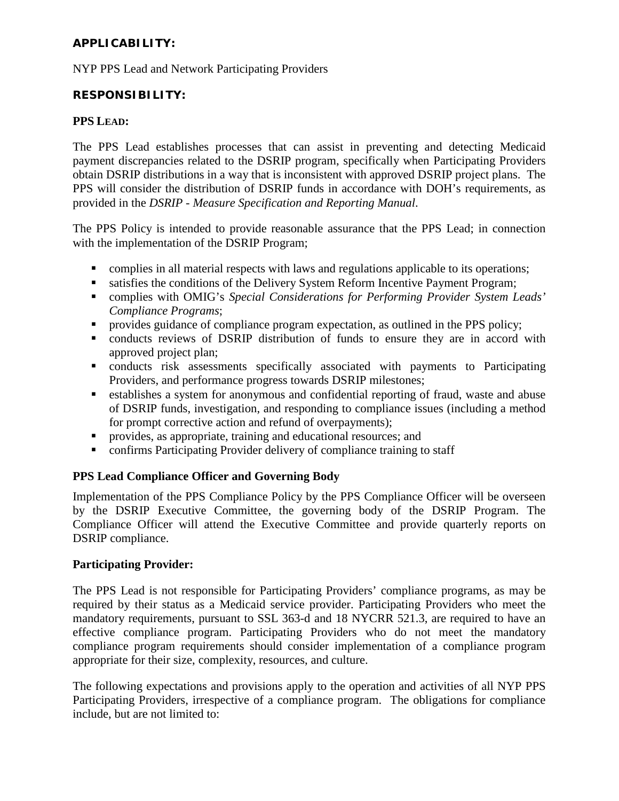# **APPLICABILITY:**

# NYP PPS Lead and Network Participating Providers

# **RESPONSIBILITY:**

### **PPS LEAD:**

The PPS Lead establishes processes that can assist in preventing and detecting Medicaid payment discrepancies related to the DSRIP program, specifically when Participating Providers obtain DSRIP distributions in a way that is inconsistent with approved DSRIP project plans. The PPS will consider the distribution of DSRIP funds in accordance with DOH's requirements, as provided in the *DSRIP - Measure Specification and Reporting Manual*.

The PPS Policy is intended to provide reasonable assurance that the PPS Lead; in connection with the implementation of the DSRIP Program;

- **•** complies in all material respects with laws and regulations applicable to its operations;
- satisfies the conditions of the Delivery System Reform Incentive Payment Program;
- complies with OMIG's *Special Considerations for Performing Provider System Leads' Compliance Programs*;
- **Perovides guidance of compliance program expectation, as outlined in the PPS policy;**
- conducts reviews of DSRIP distribution of funds to ensure they are in accord with approved project plan;
- conducts risk assessments specifically associated with payments to Participating Providers, and performance progress towards DSRIP milestones;
- establishes a system for anonymous and confidential reporting of fraud, waste and abuse of DSRIP funds, investigation, and responding to compliance issues (including a method for prompt corrective action and refund of overpayments);
- provides, as appropriate, training and educational resources; and
- confirms Participating Provider delivery of compliance training to staff

# **PPS Lead Compliance Officer and Governing Body**

Implementation of the PPS Compliance Policy by the PPS Compliance Officer will be overseen by the DSRIP Executive Committee, the governing body of the DSRIP Program. The Compliance Officer will attend the Executive Committee and provide quarterly reports on DSRIP compliance.

### **Participating Provider:**

The PPS Lead is not responsible for Participating Providers' compliance programs, as may be required by their status as a Medicaid service provider. Participating Providers who meet the mandatory requirements, pursuant to SSL 363-d and 18 NYCRR 521.3, are required to have an effective compliance program. Participating Providers who do not meet the mandatory compliance program requirements should consider implementation of a compliance program appropriate for their size, complexity, resources, and culture.

The following expectations and provisions apply to the operation and activities of all NYP PPS Participating Providers, irrespective of a compliance program. The obligations for compliance include, but are not limited to: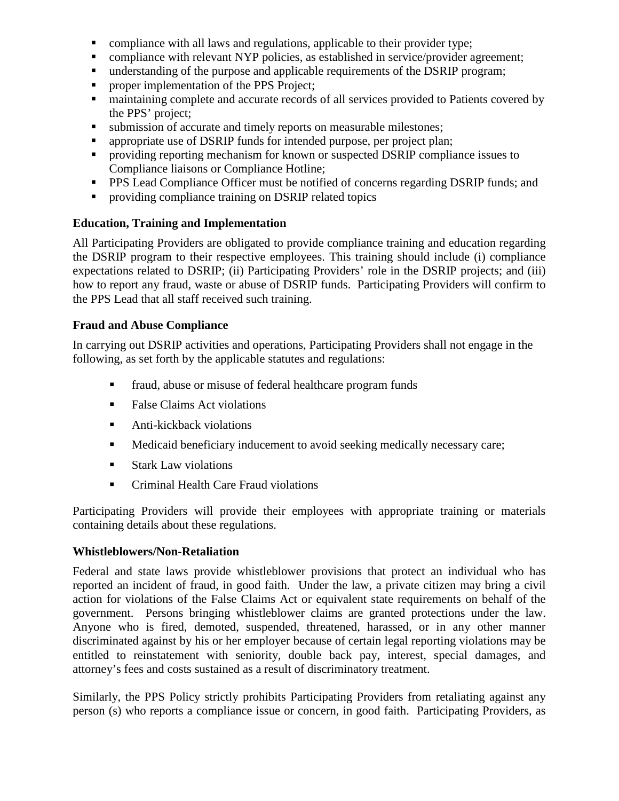- compliance with all laws and regulations, applicable to their provider type;
- compliance with relevant NYP policies, as established in service/provider agreement;
- understanding of the purpose and applicable requirements of the DSRIP program;
- proper implementation of the PPS Project;
- maintaining complete and accurate records of all services provided to Patients covered by the PPS' project;
- submission of accurate and timely reports on measurable milestones;
- appropriate use of DSRIP funds for intended purpose, per project plan;
- providing reporting mechanism for known or suspected DSRIP compliance issues to Compliance liaisons or Compliance Hotline;
- **PPS Lead Compliance Officer must be notified of concerns regarding DSRIP funds; and**
- **•** providing compliance training on DSRIP related topics

# **Education, Training and Implementation**

All Participating Providers are obligated to provide compliance training and education regarding the DSRIP program to their respective employees. This training should include (i) compliance expectations related to DSRIP; (ii) Participating Providers' role in the DSRIP projects; and (iii) how to report any fraud, waste or abuse of DSRIP funds. Participating Providers will confirm to the PPS Lead that all staff received such training.

# **Fraud and Abuse Compliance**

In carrying out DSRIP activities and operations, Participating Providers shall not engage in the following, as set forth by the applicable statutes and regulations:

- fraud, abuse or misuse of federal healthcare program funds
- False Claims Act violations
- **Anti-kickback violations**
- **Medicaid beneficiary inducement to avoid seeking medically necessary care;**
- Stark Law violations
- **Criminal Health Care Fraud violations**

Participating Providers will provide their employees with appropriate training or materials containing details about these regulations.

# **Whistleblowers/Non-Retaliation**

Federal and state laws provide whistleblower provisions that protect an individual who has reported an incident of fraud, in good faith. Under the law, a private citizen may bring a civil action for violations of the False Claims Act or equivalent state requirements on behalf of the government. Persons bringing whistleblower claims are granted protections under the law. Anyone who is fired, demoted, suspended, threatened, harassed, or in any other manner discriminated against by his or her employer because of certain legal reporting violations may be entitled to reinstatement with seniority, double back pay, interest, special damages, and attorney's fees and costs sustained as a result of discriminatory treatment.

Similarly, the PPS Policy strictly prohibits Participating Providers from retaliating against any person (s) who reports a compliance issue or concern, in good faith. Participating Providers, as